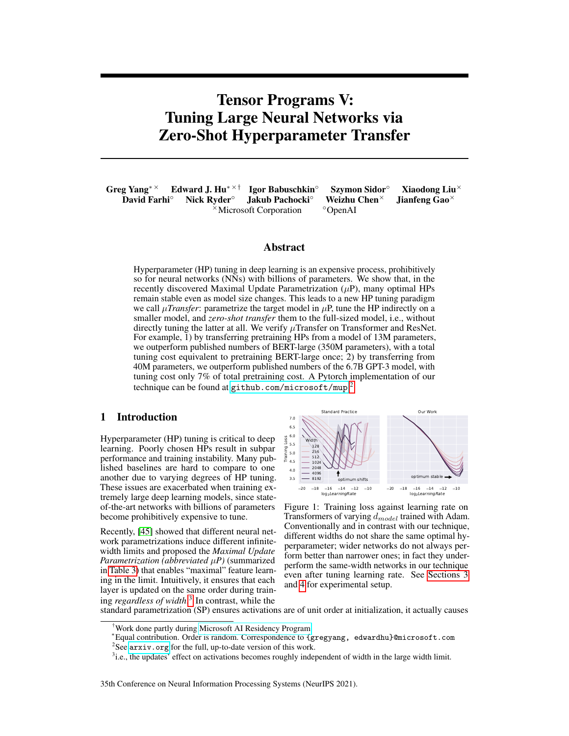# Tensor Programs V: Tuning Large Neural Networks via Zero-Shot Hyperparameter Transfer

Greg Yang<sup>∗×</sup> Edward J. Hu<sup>∗׆</sup> Igor Babuschkin<sup>∘</sup> Szymon Sidor<sup>∘</sup> Xiaodong Liu<sup>×</sup><br>David Farhi<sup>°</sup> Nick Ryder<sup>∘</sup> Jakub Pachocki<sup>°</sup> Weizhu Chen<sup>×</sup> Jianfeng Gao<sup>×</sup> David Farhi<sup>∘</sup> Nick Ryder<sup>∘</sup> Jakub Pachocki<sup>°</sup> Weizhu Chen<sup>×</sup> Jianfeng Gao<sup>×</sup> <sup>×</sup>Microsoft Corporation ◦OpenAI

#### Abstract

Hyperparameter (HP) tuning in deep learning is an expensive process, prohibitively so for neural networks (NNs) with billions of parameters. We show that, in the recently discovered Maximal Update Parametrization  $(\mu P)$ , many optimal HPs remain stable even as model size changes. This leads to a new HP tuning paradigm we call  $\mu Transfer$ : parametrize the target model in  $\mu$ P, tune the HP indirectly on a smaller model, and *zero-shot transfer* them to the full-sized model, i.e., without directly tuning the latter at all. We verify  $\mu$ Transfer on Transformer and ResNet. For example, 1) by transferring pretraining HPs from a model of 13M parameters, we outperform published numbers of BERT-large (350M parameters), with a total tuning cost equivalent to pretraining BERT-large once; 2) by transferring from 40M parameters, we outperform published numbers of the 6.7B GPT-3 model, with tuning cost only 7% of total pretraining cost. A Pytorch implementation of our technique can be found at <github.com/microsoft/mup>. [2](#page-0-0)

#### 1 Introduction

Hyperparameter (HP) tuning is critical to deep learning. Poorly chosen HPs result in subpar performance and training instability. Many published baselines are hard to compare to one another due to varying degrees of HP tuning. These issues are exacerbated when training extremely large deep learning models, since stateof-the-art networks with billions of parameters become prohibitively expensive to tune.

Recently, [\[45\]](#page-12-0) showed that different neural network parametrizations induce different infinitewidth limits and proposed the *Maximal Update Parametrization (abbreviated* µ*P)* (summarized in [Table 3\)](#page-4-1) that enables "maximal" feature learning in the limit. Intuitively, it ensures that each layer is updated on the same order during training *regardless of width*. [3](#page-0-1) In contrast, while the

<span id="page-0-2"></span>

Figure 1: Training loss against learning rate on Transformers of varying  $d_{model}$  trained with Adam. Conventionally and in contrast with our technique, different widths do not share the same optimal hyperparameter; wider networks do not always perform better than narrower ones; in fact they underperform the same-width networks in our technique even after tuning learning rate. See [Sections 3](#page-3-0) and [4](#page-4-0) for experimental setup.

standard parametrization (SP) ensures activations are of unit order at initialization, it actually causes

35th Conference on Neural Information Processing Systems (NeurIPS 2021).

<sup>†</sup>Work done partly during [Microsoft AI Residency Program.](https://www.microsoft.com/en-us/research/academic-program/microsoft-ai-residency-program/)

<sup>∗</sup>Equal contribution. Order is random. Correspondence to {gregyang, edwardhu}@microsoft.com

<span id="page-0-0"></span> $2$ See <arxiv.org> for the full, up-to-date version of this work.

<span id="page-0-1"></span><sup>&</sup>lt;sup>3</sup>i.e., the updates' effect on activations becomes roughly independent of width in the large width limit.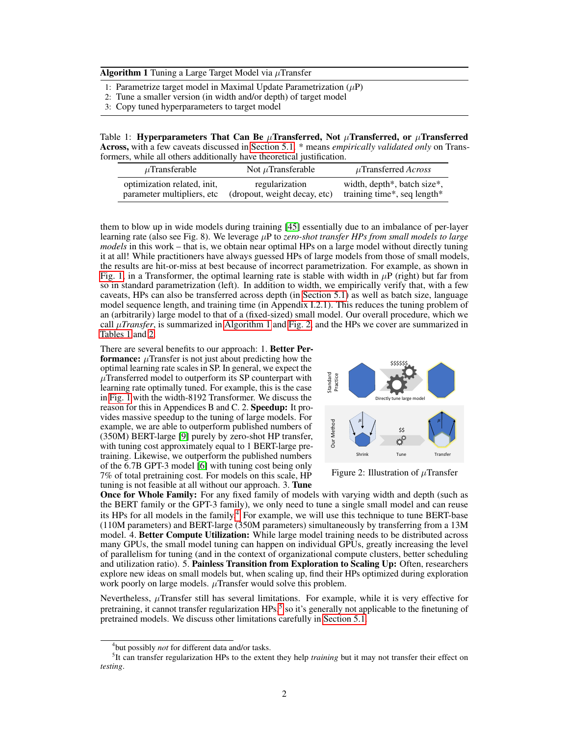<span id="page-1-0"></span>**Algorithm 1** Tuning a Large Target Model via  $\mu$ Transfer

- 1: Parametrize target model in Maximal Update Parametrization  $(\mu P)$
- 2: Tune a smaller version (in width and/or depth) of target model
- 3: Copy tuned hyperparameters to target model

<span id="page-1-2"></span>Table 1: Hyperparameters That Can Be  $\mu$ Transferred, Not  $\mu$ Transferred, or  $\mu$ Transferred Across, with a few caveats discussed in [Section 5.1.](#page-6-0) \* means *empirically validated only* on Transformers, while all others additionally have theoretical justification.

| $\mu$ Transferable          | Not $\mu$ Transferable       | $\mu$ Transferred Across    |
|-----------------------------|------------------------------|-----------------------------|
| optimization related, init, | regularization               | width, depth*, batch size*, |
| parameter multipliers, etc. | (dropout, weight decay, etc) | training time*, seq length* |

them to blow up in wide models during training [\[45\]](#page-12-0) essentially due to an imbalance of per-layer learning rate (also see Fig. 8). We leverage µP to *zero-shot transfer HPs from small models to large models* in this work – that is, we obtain near optimal HPs on a large model without directly tuning it at all! While practitioners have always guessed HPs of large models from those of small models, the results are hit-or-miss at best because of incorrect parametrization. For example, as shown in [Fig. 1,](#page-0-2) in a Transformer, the optimal learning rate is stable with width in  $\mu$ P (right) but far from so in standard parametrization (left). In addition to width, we empirically verify that, with a few caveats, HPs can also be transferred across depth (in [Section 5.1\)](#page-6-0) as well as batch size, language model sequence length, and training time (in Appendix I.2.1). This reduces the tuning problem of an (arbitrarily) large model to that of a (fixed-sized) small model. Our overall procedure, which we call  $\mu Transfer$ , is summarized in [Algorithm 1](#page-1-0) and [Fig. 2,](#page-1-1) and the HPs we cover are summarized in [Tables 1](#page-1-2) and [2.](#page-2-0)

There are several benefits to our approach: 1. Better Performance:  $\mu$ Transfer is not just about predicting how the optimal learning rate scales in SP. In general, we expect the  $\mu$ Transferred model to outperform its SP counterpart with learning rate optimally tuned. For example, this is the case in [Fig. 1](#page-0-2) with the width-8192 Transformer. We discuss the reason for this in Appendices B and C. 2. Speedup: It provides massive speedup to the tuning of large models. For example, we are able to outperform published numbers of (350M) BERT-large [\[9\]](#page-10-0) purely by zero-shot HP transfer, with tuning cost approximately equal to 1 BERT-large pretraining. Likewise, we outperform the published numbers of the 6.7B GPT-3 model [\[6\]](#page-10-1) with tuning cost being only 7% of total pretraining cost. For models on this scale, HP tuning is not feasible at all without our approach. 3. Tune

<span id="page-1-1"></span>

Figure 2: Illustration of  $\mu$ Transfer

Once for Whole Family: For any fixed family of models with varying width and depth (such as the BERT family or the GPT-3 family), we only need to tune a single small model and can reuse its HPs for all models in the family.<sup>[4](#page-1-3)</sup> For example, we will use this technique to tune BERT-base (110M parameters) and BERT-large (350M parameters) simultaneously by transferring from a 13M model. 4. Better Compute Utilization: While large model training needs to be distributed across many GPUs, the small model tuning can happen on individual GPUs, greatly increasing the level of parallelism for tuning (and in the context of organizational compute clusters, better scheduling and utilization ratio). 5. Painless Transition from Exploration to Scaling Up: Often, researchers explore new ideas on small models but, when scaling up, find their HPs optimized during exploration work poorly on large models.  $\mu$ Transfer would solve this problem.

Nevertheless,  $\mu$ Transfer still has several limitations. For example, while it is very effective for pretraining, it cannot transfer regularization HPs,<sup>[5](#page-1-4)</sup> so it's generally not applicable to the finetuning of pretrained models. We discuss other limitations carefully in [Section 5.1.](#page-6-0)

<span id="page-1-4"></span><span id="page-1-3"></span><sup>4</sup> but possibly *not* for different data and/or tasks.

<sup>&</sup>lt;sup>5</sup>It can transfer regularization HPs to the extent they help *training* but it may not transfer their effect on *testing*.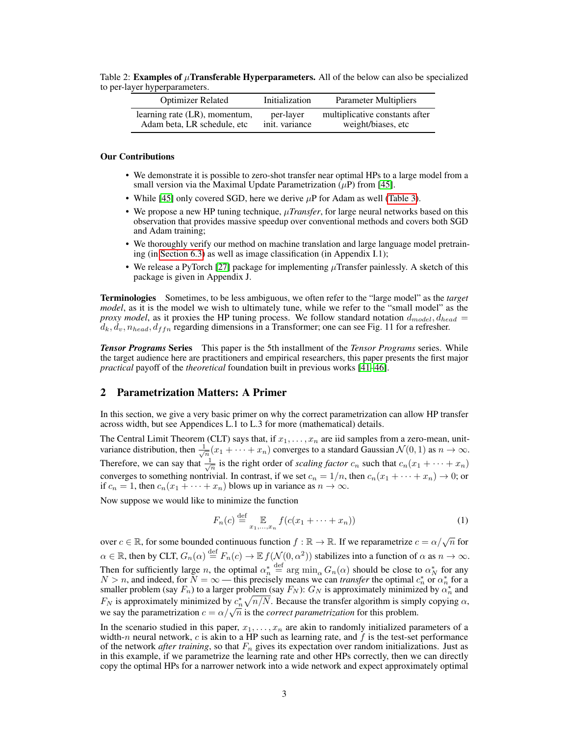<span id="page-2-0"></span>Table 2: Examples of  $\mu$ Transferable Hyperparameters. All of the below can also be specialized to per-layer hyperparameters.

| <b>Optimizer Related</b>      | Initialization | <b>Parameter Multipliers</b>   |
|-------------------------------|----------------|--------------------------------|
| learning rate (LR), momentum, | per-layer      | multiplicative constants after |
| Adam beta, LR schedule, etc   | init. variance | weight/biases, etc             |

#### Our Contributions

- We demonstrate it is possible to zero-shot transfer near optimal HPs to a large model from a small version via the Maximal Update Parametrization  $(\mu P)$  from [\[45\]](#page-12-0).
- While [\[45\]](#page-12-0) only covered SGD, here we derive  $\mu$ P for Adam as well [\(Table 3\)](#page-4-1).
- We propose a new HP tuning technique,  $\mu Transfer$ , for large neural networks based on this observation that provides massive speedup over conventional methods and covers both SGD and Adam training;
- We thoroughly verify our method on machine translation and large language model pretraining (in [Section 6.3\)](#page-8-0) as well as image classification (in Appendix I.1);
- We release a PyTorch [\[27\]](#page-11-0) package for implementing  $\mu$ Transfer painlessly. A sketch of this package is given in Appendix J.

Terminologies Sometimes, to be less ambiguous, we often refer to the "large model" as the *target model*, as it is the model we wish to ultimately tune, while we refer to the "small model" as the *proxy model*, as it proxies the HP tuning process. We follow standard notation  $d_{model}$ ,  $d_{head}$  $d_k, d_v, n_{head}, d_{ffn}$  regarding dimensions in a Transformer; one can see Fig. 11 for a refresher.

*Tensor Programs* Series This paper is the 5th installment of the *Tensor Programs* series. While the target audience here are practitioners and empirical researchers, this paper presents the first major *practical* payoff of the *theoretical* foundation built in previous works [\[41](#page-12-1)[–46\]](#page-12-2).

# <span id="page-2-1"></span>2 Parametrization Matters: A Primer

In this section, we give a very basic primer on why the correct parametrization can allow HP transfer across width, but see Appendices L.1 to L.3 for more (mathematical) details.

The Central Limit Theorem (CLT) says that, if  $x_1, \ldots, x_n$  are iid samples from a zero-mean, unitvariance distribution, then  $\frac{1}{\sqrt{n}}(x_1 + \cdots + x_n)$  converges to a standard Gaussian  $\mathcal{N}(0, 1)$  as  $n \to \infty$ . Therefore, we can say that  $\frac{1}{\sqrt{n}}$  is the right order of *scaling factor*  $c_n$  such that  $c_n(x_1 + \cdots + x_n)$ converges to something nontrivial. In contrast, if we set  $c_n = 1/n$ , then  $c_n(x_1 + \cdots + x_n) \to 0$ ; or if  $c_n = 1$ , then  $c_n(x_1 + \cdots + x_n)$  blows up in variance as  $n \to \infty$ .

Now suppose we would like to minimize the function

$$
F_n(c) \stackrel{\text{def}}{=} \mathbb{E}_{x_1, \dots, x_n} f(c(x_1 + \dots + x_n))
$$
 (1)

over  $c \in \mathbb{R}$ , for some bounded continuous function  $f : \mathbb{R} \to \mathbb{R}$ . If we reparametrize  $c = \alpha/\sqrt{n}$  for  $\alpha \in \mathbb{R}$ , then by CLT,  $G_n(\alpha) \stackrel{\text{def}}{=} F_n(c) \to \mathbb{E} f(\mathcal{N}(0, \alpha^2))$  stabilizes into a function of  $\alpha$  as  $n \to \infty$ . Then for sufficiently large *n*, the optimal  $\alpha_n^* \stackrel{\text{def}}{=} \arg \min_{\alpha} G_n(\alpha)$  should be close to  $\alpha_N^*$  for any  $N > n$ , and indeed, for  $N = \infty$  — this precisely means we can *transfer* the optimal  $c_n^*$  or  $\alpha_n^*$  for a smaller problem (say  $F_n$ ) to a larger problem (say  $F_N$ ):  $G_N$  is approximately minimized by  $\alpha_n^*$  and  $F_N$  is approximately minimized by  $c_n^* \sqrt{n/N}$ . Because the transfer algorithm is simply copying  $\alpha$ ,  $\sum_{i=1}^{n}$  is approximately immitted by  $c_n \sqrt{n/n}$ . Because the transfer algorithm is simp<br>we say the parametrization  $c = \alpha/\sqrt{n}$  is the *correct parametrization* for this problem.

In the scenario studied in this paper,  $x_1, \ldots, x_n$  are akin to randomly initialized parameters of a width-n neural network,  $c$  is akin to a HP such as learning rate, and  $f$  is the test-set performance of the network *after training*, so that  $F_n$  gives its expectation over random initializations. Just as in this example, if we parametrize the learning rate and other HPs correctly, then we can directly copy the optimal HPs for a narrower network into a wide network and expect approximately optimal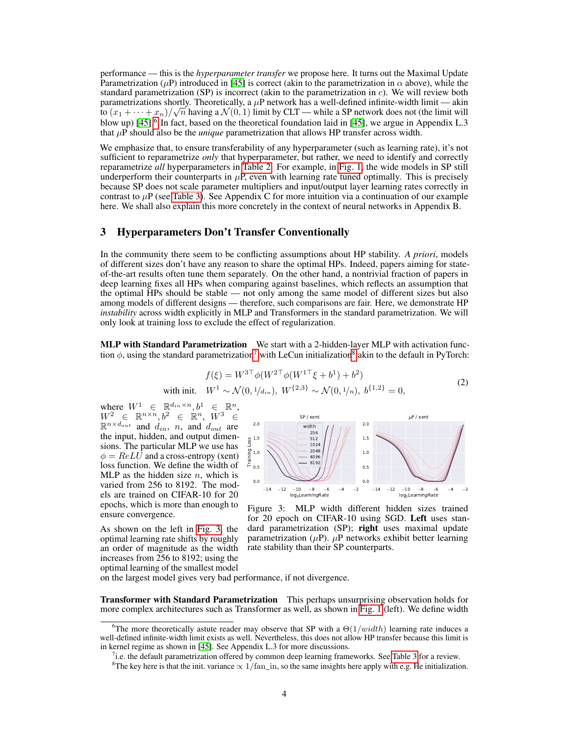performance — this is the *hyperparameter transfer* we propose here. It turns out the Maximal Update Parametrization ( $\mu$ P) introduced in [\[45\]](#page-12-0) is correct (akin to the parametrization in  $\alpha$  above), while the standard parametrization (SP) is incorrect (akin to the parametrization in  $c$ ). We will review both parametrizations shortly. Theoretically, a  $\mu$ P network has a well-defined infinite-width limit — akin to  $(x_1+\cdots+x_n)/\sqrt{n}$  having a  $\mathcal{N}(0,1)$  limit by CLT — while a SP network does not (the limit will blow up)  $[45]$ .<sup>[6](#page-3-1)</sup> In fact, based on the theoretical foundation laid in  $[45]$ , we argue in Appendix L.3 that  $\mu P$  should also be the *unique* parametrization that allows HP transfer across width.

We emphasize that, to ensure transferability of any hyperparameter (such as learning rate), it's not sufficient to reparametrize *only* that hyperparameter, but rather, we need to identify and correctly reparametrize *all* hyperparameters in [Table 2.](#page-2-0) For example, in [Fig. 1,](#page-0-2) the wide models in SP still underperform their counterparts in  $\mu$ P, even with learning rate tuned optimally. This is precisely because SP does not scale parameter multipliers and input/output layer learning rates correctly in contrast to  $\mu$ P (see [Table 3\)](#page-4-1). See Appendix C for more intuition via a continuation of our example here. We shall also explain this more concretely in the context of neural networks in Appendix B.

# <span id="page-3-0"></span>3 Hyperparameters Don't Transfer Conventionally

In the community there seem to be conflicting assumptions about HP stability. *A priori*, models of different sizes don't have any reason to share the optimal HPs. Indeed, papers aiming for stateof-the-art results often tune them separately. On the other hand, a nontrivial fraction of papers in deep learning fixes all HPs when comparing against baselines, which reflects an assumption that the optimal HPs should be stable — not only among the same model of different sizes but also among models of different designs — therefore, such comparisons are fair. Here, we demonstrate HP *instability* across width explicitly in MLP and Transformers in the standard parametrization. We will only look at training loss to exclude the effect of regularization.

<span id="page-3-5"></span>MLP with Standard Parametrization We start with a 2-hidden-layer MLP with activation function  $\phi$ , using the standard parametrization<sup>[7](#page-3-2)</sup> with LeCun initialization<sup>[8](#page-3-3)</sup> akin to the default in PyTorch:

$$
f(\xi) = W^{3\top} \phi(W^{2\top} \phi(W^{1\top}\xi + b^1) + b^2)
$$
  
with init.  $W^1 \sim \mathcal{N}(0, 1/d_{in}), W^{2,3} \sim \mathcal{N}(0, 1/n), b^{\{1,2\}} = 0,$  (2)

where  $W^1 \in \mathbb{R}^{d_{in} \times n}, b^1 \in \mathbb{R}^n$ ,  $W^2$   $\in$   $\mathbb{R}^{n \times n}, b^2$   $\in$   $\mathbb{R}^n, W^3$   $\in$  $\mathbb{R}^{n \times d_{out}}$  and  $d_{in}$ , n, and  $d_{out}$  are the input, hidden, and output dimensions. The particular MLP we use has  $\phi = ReLU$  and a cross-entropy (xent) loss function. We define the width of MLP as the hidden size  $n$ , which is varied from 256 to 8192. The models are trained on CIFAR-10 for 20 epochs, which is more than enough to ensure convergence.

As shown on the left in [Fig. 3,](#page-3-4) the optimal learning rate shifts by roughly an order of magnitude as the width increases from 256 to 8192; using the optimal learning of the smallest model

<span id="page-3-4"></span>

Figure 3: MLP width different hidden sizes trained for 20 epoch on CIFAR-10 using SGD. Left uses standard parametrization (SP); right uses maximal update parametrization  $(\mu P)$ .  $\mu P$  networks exhibit better learning rate stability than their SP counterparts.

on the largest model gives very bad performance, if not divergence.

Transformer with Standard Parametrization This perhaps unsurprising observation holds for more complex architectures such as Transformer as well, as shown in [Fig. 1](#page-0-2) (left). We define width

<span id="page-3-1"></span><sup>&</sup>lt;sup>6</sup>The more theoretically astute reader may observe that SP with a  $\Theta(1/width)$  learning rate induces a well-defined infinite-width limit exists as well. Nevertheless, this does not allow HP transfer because this limit is in kernel regime as shown in [\[45\]](#page-12-0). See Appendix L.3 for more discussions.

<span id="page-3-2"></span> $7$ i.e. the default parametrization offered by common deep learning frameworks. See [Table 3](#page-4-1) for a review.

<span id="page-3-3"></span><sup>&</sup>lt;sup>8</sup>The key here is that the init. variance  $\propto 1/\text{fan\_in}$ , so the same insights here apply with e.g. He initialization.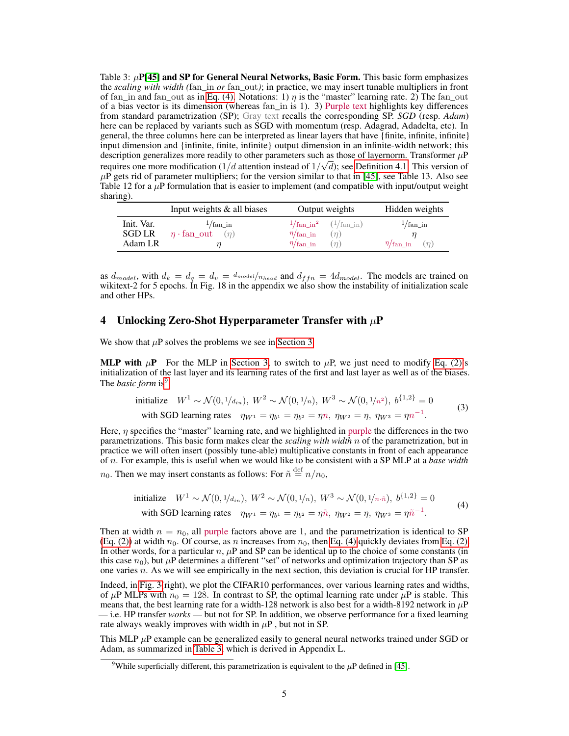<span id="page-4-1"></span>Table 3:  $\mu$ P[\[45\]](#page-12-0) and SP for General Neural Networks, Basic Form. This basic form emphasizes the *scaling with width (*fan*\_*in *or* fan*\_*out*)*; in practice, we may insert tunable multipliers in front of fan\_in and fan\_out as in [Eq. \(4\).](#page-4-2) Notations: 1)  $\eta$  is the "master" learning rate. 2) The fan\_out of a bias vector is its dimension (whereas fan\_in is 1). 3) Purple text highlights key differences from standard parametrization (SP); Gray text recalls the corresponding SP. *SGD* (resp. *Adam*) here can be replaced by variants such as SGD with momentum (resp. Adagrad, Adadelta, etc). In general, the three columns here can be interpreted as linear layers that have {finite, infinite, infinite} input dimension and {infinite, finite, infinite} output dimension in an infinite-width network; this description generalizes more readily to other parameters such as those of layernorm. Transformer  $\mu$ P requires one more modification (1/d attention instead of  $1/\sqrt{d}$ ); see [Definition 4.1.](#page-5-0) This version of  $\mu$ P gets rid of parameter multipliers; for the version similar to that in [\[45\]](#page-12-0), see Table 13. Also see Table 12 for a  $\mu$ P formulation that is easier to implement (and compatible with input/output weight sharing).

|                                 | Input weights $\&$ all biases                                           | Output weights                                                                                   | Hidden weights                                        |
|---------------------------------|-------------------------------------------------------------------------|--------------------------------------------------------------------------------------------------|-------------------------------------------------------|
| Init. Var.<br>SGD LR<br>Adam LR | $\frac{1}{\text{fan\_in}}$<br>$\eta \cdot \text{fan\_out}$ ( <i>n</i> ) | $1/{\rm fan\_in}^2$ $(1/{\rm fan\_in})$<br>$\eta/\text{fan\_in}$<br>$\eta/\text{fan\_in}$<br>(n) | $1/\text{fan\_in}$<br>$\eta/\text{fan_in}$ ( $\eta$ ) |

as  $d_{model}$ , with  $d_k = d_q = d_v = d_{model}/n_{head}$  and  $d_{ffn} = 4d_{model}$ . The models are trained on wikitext-2 for 5 epochs. In Fig. 18 in the appendix we also show the instability of initialization scale and other HPs.

# <span id="page-4-0"></span>4 Unlocking Zero-Shot Hyperparameter Transfer with  $\mu$ P

We show that  $\mu$ P solves the problems we see in [Section 3.](#page-3-0)

**MLP with**  $\mu$ **P** For the MLP in [Section 3,](#page-3-0) to switch to  $\mu$ P, we just need to modify [Eq. \(2\)'](#page-3-5)s initialization of the last layer and its learning rates of the first and last layer as well as of the biases. The *basic form* is<sup>[9](#page-4-3)</sup>

\n initialize \n 
$$
W^1 \sim \mathcal{N}(0, \frac{1}{d_{in}}), \quad W^2 \sim \mathcal{N}(0, \frac{1}{n}), \quad W^3 \sim \mathcal{N}(0, \frac{1}{n^2}), \quad b^{\{1,2\}} = 0
$$
\n with SGD learning rates \n  $\eta_{W^1} = \eta_{b^1} = \eta_{b^2} = \eta n, \quad \eta_{W^2} = \eta, \quad \eta_{W^3} = \eta n^{-1}.$ \n

Here,  $\eta$  specifies the "master" learning rate, and we highlighted in purple the differences in the two parametrizations. This basic form makes clear the *scaling with width* n of the parametrization, but in practice we will often insert (possibly tune-able) multiplicative constants in front of each appearance of n. For example, this is useful when we would like to be consistent with a SP MLP at a *base width*  $n_0$ . Then we may insert constants as follows: For  $\tilde{n} \stackrel{\text{def}}{=} n/n_0$ ,

<span id="page-4-2"></span>\n initialize 
$$
W^1 \sim \mathcal{N}(0, \frac{1}{d_{in}}), \ W^2 \sim \mathcal{N}(0, \frac{1}{n}), \ W^3 \sim \mathcal{N}(0, \frac{1}{n \cdot \hat{n}}), \ b^{\{1,2\}} = 0
$$
\n

\n\n with SGD learning rates  $\eta_{W^1} = \eta_{b^1} = \eta_{b^2} = \eta \tilde{n}, \ \eta_{W^2} = \eta, \ \eta_{W^3} = \eta \tilde{n}^{-1}.$ \n

Then at width  $n = n_0$ , all purple factors above are 1, and the parametrization is identical to SP [\(Eq. \(2\)\)](#page-3-5) at width  $n_0$ . Of course, as n increases from  $n_0$ , then [Eq. \(4\)](#page-4-2) quickly deviates from [Eq. \(2\).](#page-3-5) In other words, for a particular  $n$ ,  $\mu$ P and SP can be identical up to the choice of some constants (in this case  $n_0$ ), but  $\mu$ P determines a different "set" of networks and optimization trajectory than SP as one varies  $n$ . As we will see empirically in the next section, this deviation is crucial for HP transfer.

Indeed, in [Fig. 3\(](#page-3-4)right), we plot the CIFAR10 performances, over various learning rates and widths, of  $\mu$ P MLPs with  $n_0 = 128$ . In contrast to SP, the optimal learning rate under  $\mu$ P is stable. This means that, the best learning rate for a width-128 network is also best for a width-8192 network in  $\mu$ P — i.e. HP transfer *works* — but not for SP. In addition, we observe performance for a fixed learning rate always weakly improves with width in  $\mu$ P, but not in SP.

This MLP  $\mu$ P example can be generalized easily to general neural networks trained under SGD or Adam, as summarized in [Table 3,](#page-4-1) which is derived in Appendix L.

<span id="page-4-3"></span><sup>&</sup>lt;sup>9</sup>While superficially different, this parametrization is equivalent to the  $\mu$ P defined in [\[45\]](#page-12-0).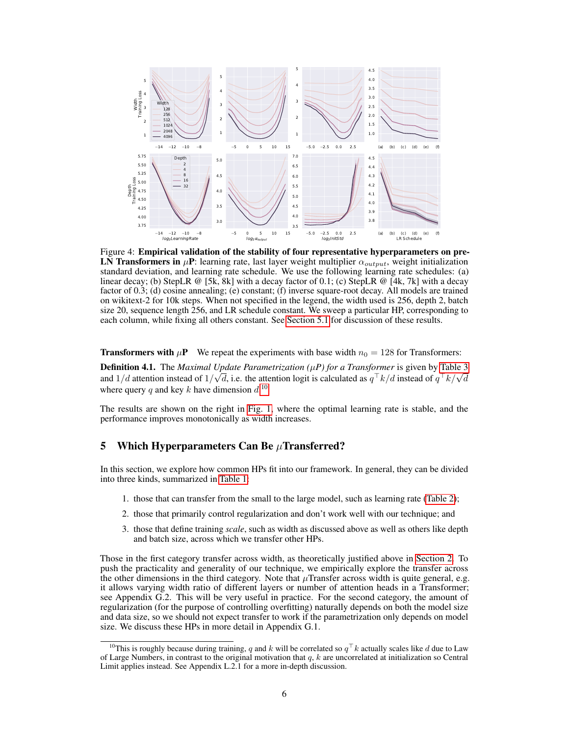<span id="page-5-2"></span>

Figure 4: Empirical validation of the stability of four representative hyperparameters on pre-LN Transformers in  $\mu$ P: learning rate, last layer weight multiplier  $\alpha_{output}$ , weight initialization standard deviation, and learning rate schedule. We use the following learning rate schedules: (a) linear decay; (b) StepLR @ [5k, 8k] with a decay factor of 0.1; (c) StepLR @ [4k, 7k] with a decay factor of 0.3; (d) cosine annealing; (e) constant; (f) inverse square-root decay. All models are trained on wikitext-2 for 10k steps. When not specified in the legend, the width used is 256, depth 2, batch size 20, sequence length 256, and LR schedule constant. We sweep a particular HP, corresponding to each column, while fixing all others constant. See [Section 5.1](#page-6-0) for discussion of these results.

**Transformers with**  $\mu$ **P** We repeat the experiments with base width  $n_0 = 128$  for Transformers:

<span id="page-5-0"></span>**Definition 4.1.** The *Maximal Update Parametrization* ( $\mu$ *P) for a Transformer* is given by [Table 3](#page-4-1) **Definition 4.1.** The *Maximal Opdate Parametrization* ( $\mu$ *P*) for a Transformer is given by Table 5 and  $1/d$  attention instead of  $1/\sqrt{d}$ , i.e. the attention logit is calculated as  $q^T k/d$  instead of  $q^T k/\sqrt{d}$ where query q and key k have dimension  $d$ .<sup>[10](#page-5-1)</sup>

The results are shown on the right in [Fig. 1,](#page-0-2) where the optimal learning rate is stable, and the performance improves monotonically as width increases.

### <span id="page-5-3"></span>5 Which Hyperparameters Can Be  $\mu$ Transferred?

In this section, we explore how common HPs fit into our framework. In general, they can be divided into three kinds, summarized in [Table 1:](#page-1-2)

- 1. those that can transfer from the small to the large model, such as learning rate [\(Table 2\)](#page-2-0);
- 2. those that primarily control regularization and don't work well with our technique; and
- 3. those that define training *scale*, such as width as discussed above as well as others like depth and batch size, across which we transfer other HPs.

Those in the first category transfer across width, as theoretically justified above in [Section 2.](#page-2-1) To push the practicality and generality of our technique, we empirically explore the transfer across the other dimensions in the third category. Note that  $\mu$ Transfer across width is quite general, e.g. it allows varying width ratio of different layers or number of attention heads in a Transformer; see Appendix G.2. This will be very useful in practice. For the second category, the amount of regularization (for the purpose of controlling overfitting) naturally depends on both the model size and data size, so we should not expect transfer to work if the parametrization only depends on model size. We discuss these HPs in more detail in Appendix G.1.

<span id="page-5-1"></span><sup>&</sup>lt;sup>10</sup>This is roughly because during training, q and k will be correlated so  $q^T k$  actually scales like d due to Law of Large Numbers, in contrast to the original motivation that  $q$ ,  $k$  are uncorrelated at initialization so Central Limit applies instead. See Appendix L.2.1 for a more in-depth discussion.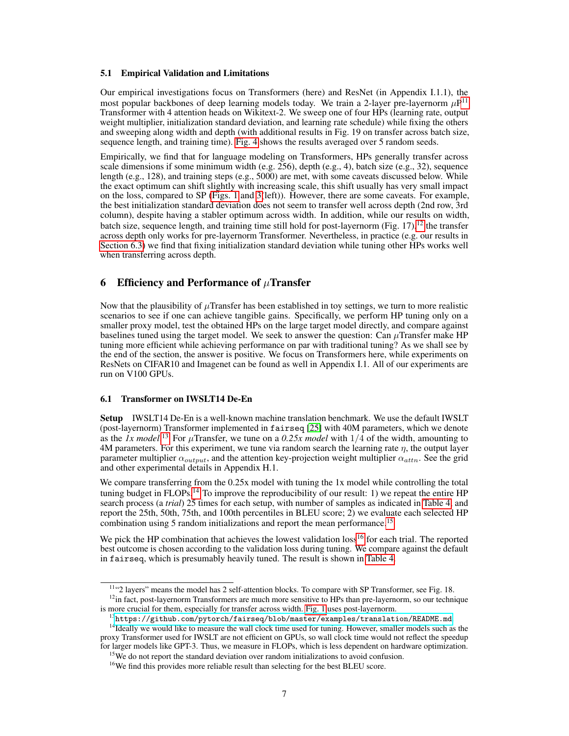#### <span id="page-6-0"></span>5.1 Empirical Validation and Limitations

Our empirical investigations focus on Transformers (here) and ResNet (in Appendix I.1.1), the most popular backbones of deep learning models today. We train a 2-layer pre-layernorm  $\mu P^{11}$  $\mu P^{11}$  $\mu P^{11}$ Transformer with 4 attention heads on Wikitext-2. We sweep one of four HPs (learning rate, output weight multiplier, initialization standard deviation, and learning rate schedule) while fixing the others and sweeping along width and depth (with additional results in Fig. 19 on transfer across batch size, sequence length, and training time). [Fig. 4](#page-5-2) shows the results averaged over 5 random seeds.

Empirically, we find that for language modeling on Transformers, HPs generally transfer across scale dimensions if some minimum width (e.g. 256), depth (e.g., 4), batch size (e.g., 32), sequence length (e.g., 128), and training steps (e.g., 5000) are met, with some caveats discussed below. While the exact optimum can shift slightly with increasing scale, this shift usually has very small impact on the loss, compared to SP [\(Figs. 1](#page-0-2) and [3\(](#page-3-4)left)). However, there are some caveats. For example, the best initialization standard deviation does not seem to transfer well across depth (2nd row, 3rd column), despite having a stabler optimum across width. In addition, while our results on width, batch size, sequence length, and training time still hold for post-layernorm (Fig.  $17$ ),<sup>[12](#page-6-2)</sup> the transfer across depth only works for pre-layernorm Transformer. Nevertheless, in practice (e.g. our results in [Section 6.3\)](#page-8-0) we find that fixing initialization standard deviation while tuning other HPs works well when transferring across depth.

# 6 Efficiency and Performance of  $\mu$ Transfer

Now that the plausibility of  $\mu$ Transfer has been established in toy settings, we turn to more realistic scenarios to see if one can achieve tangible gains. Specifically, we perform HP tuning only on a smaller proxy model, test the obtained HPs on the large target model directly, and compare against baselines tuned using the target model. We seek to answer the question: Can  $\mu$ Transfer make HP tuning more efficient while achieving performance on par with traditional tuning? As we shall see by the end of the section, the answer is positive. We focus on Transformers here, while experiments on ResNets on CIFAR10 and Imagenet can be found as well in Appendix I.1. All of our experiments are run on V100 GPUs.

#### 6.1 Transformer on IWSLT14 De-En

Setup IWSLT14 De-En is a well-known machine translation benchmark. We use the default IWSLT (post-layernorm) Transformer implemented in fairseq [\[25\]](#page-11-1) with 40M parameters, which we denote as the *1x model*.<sup>[13](#page-6-3)</sup> For  $\mu$ Transfer, we tune on a 0.25x model with 1/4 of the width, amounting to 4M parameters. For this experiment, we tune via random search the learning rate  $\eta$ , the output layer parameter multiplier  $\alpha_{output}$ , and the attention key-projection weight multiplier  $\alpha'_{attn}$ . See the grid and other experimental details in Appendix H.1.

We compare transferring from the 0.25x model with tuning the 1x model while controlling the total tuning budget in FLOPs.<sup>[14](#page-6-4)</sup> To improve the reproducibility of our result: 1) we repeat the entire HP search process (a *trial*) 25 times for each setup, with number of samples as indicated in [Table 4,](#page-7-0) and report the 25th, 50th, 75th, and 100th percentiles in BLEU score; 2) we evaluate each selected HP combination using 5 random initializations and report the mean performance.<sup>[15](#page-6-5)</sup>

We pick the HP combination that achieves the lowest validation loss<sup>[16](#page-6-6)</sup> for each trial. The reported best outcome is chosen according to the validation loss during tuning. We compare against the default in fairseq, which is presumably heavily tuned. The result is shown in [Table 4.](#page-7-0)

<span id="page-6-2"></span><span id="page-6-1"></span><sup>11</sup>"2 layers" means the model has 2 self-attention blocks. To compare with SP Transformer, see Fig. 18.

<sup>&</sup>lt;sup>12</sup>in fact, post-layernorm Transformers are much more sensitive to HPs than pre-layernorm, so our technique is more crucial for them, especially for transfer across width. [Fig. 1](#page-0-2) uses post-layernorm.

<span id="page-6-4"></span><span id="page-6-3"></span> $^{13}$ <https://github.com/pytorch/fairseq/blob/master/examples/translation/README.md>.

<sup>&</sup>lt;sup>14</sup>Ideally we would like to measure the wall clock time used for tuning. However, smaller models such as the proxy Transformer used for IWSLT are not efficient on GPUs, so wall clock time would not reflect the speedup for larger models like GPT-3. Thus, we measure in FLOPs, which is less dependent on hardware optimization.

<span id="page-6-5"></span><sup>&</sup>lt;sup>15</sup>We do not report the standard deviation over random initializations to avoid confusion.

<span id="page-6-6"></span><sup>&</sup>lt;sup>16</sup>We find this provides more reliable result than selecting for the best BLEU score.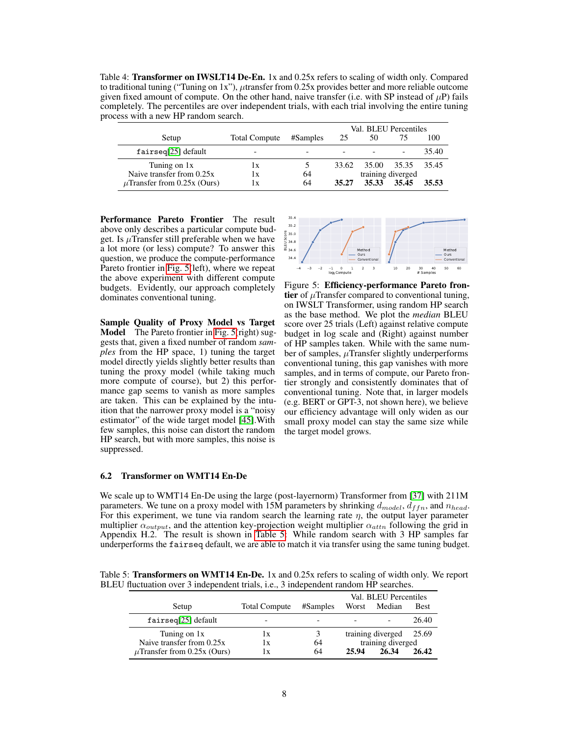<span id="page-7-0"></span>Table 4: Transformer on IWSLT14 De-En. 1x and 0.25x refers to scaling of width only. Compared to traditional tuning ("Tuning on 1x"),  $\mu$ transfer from 0.25x provides better and more reliable outcome given fixed amount of compute. On the other hand, naive transfer (i.e. with SP instead of  $\mu$ P) fails completely. The percentiles are over independent trials, with each trial involving the entire tuning process with a new HP random search.

|                                  |                         |          | Val. BLEU Percentiles |                   |  |       |
|----------------------------------|-------------------------|----------|-----------------------|-------------------|--|-------|
| Setup                            | <b>Total Compute</b>    | #Samples | 25                    | 50                |  | 100   |
| fairseq[25] default              | -                       |          |                       |                   |  | 35.40 |
| Tuning on 1x                     | $\mathbf{I} \mathbf{X}$ |          | 33.62                 | 35.00 35.35 35.45 |  |       |
| Naive transfer from 0.25x        | lх                      | 64       |                       | training diverged |  |       |
| $\mu$ Transfer from 0.25x (Ours) | 1X                      | 64       | 35.27                 | 35.33 35.45       |  | 35.53 |

Performance Pareto Frontier The result above only describes a particular compute budget. Is  $\mu$ Transfer still preferable when we have a lot more (or less) compute? To answer this question, we produce the compute-performance Pareto frontier in [Fig. 5\(](#page-7-1)left), where we repeat the above experiment with different compute budgets. Evidently, our approach completely dominates conventional tuning.

Sample Quality of Proxy Model vs Target Model The Pareto frontier in [Fig. 5\(](#page-7-1)right) suggests that, given a fixed number of random *samples* from the HP space, 1) tuning the target model directly yields slightly better results than tuning the proxy model (while taking much more compute of course), but 2) this performance gap seems to vanish as more samples are taken. This can be explained by the intuition that the narrower proxy model is a "noisy estimator" of the wide target model [\[45\]](#page-12-0).With few samples, this noise can distort the random HP search, but with more samples, this noise is suppressed.

<span id="page-7-1"></span>

Figure 5: Efficiency-performance Pareto frontier of  $\mu$ Transfer compared to conventional tuning, on IWSLT Transformer, using random HP search as the base method. We plot the *median* BLEU score over 25 trials (Left) against relative compute budget in log scale and (Right) against number of HP samples taken. While with the same number of samples,  $\mu$ Transfer slightly underperforms conventional tuning, this gap vanishes with more samples, and in terms of compute, our Pareto frontier strongly and consistently dominates that of conventional tuning. Note that, in larger models (e.g. BERT or GPT-3, not shown here), we believe our efficiency advantage will only widen as our small proxy model can stay the same size while the target model grows.

#### 6.2 Transformer on WMT14 En-De

We scale up to WMT14 En-De using the large (post-layernorm) Transformer from [\[37\]](#page-12-3) with 211M parameters. We tune on a proxy model with 15M parameters by shrinking  $d_{model}$ ,  $d_{ffn}$ , and  $n_{head}$ . For this experiment, we tune via random search the learning rate  $\eta$ , the output layer parameter multiplier  $\alpha_{output}$ , and the attention key-projection weight multiplier  $\alpha_{attn}$  following the grid in Appendix H.2. The result is shown in [Table 5:](#page-7-2) While random search with 3 HP samples far underperforms the fairseq default, we are able to match it via transfer using the same tuning budget.

<span id="page-7-2"></span>Table 5: Transformers on WMT14 En-De. 1x and 0.25x refers to scaling of width only. We report BLEU fluctuation over 3 independent trials, i.e., 3 independent random HP searches.

|                                  |                      |          | Val. BLEU Percentiles |                         |             |
|----------------------------------|----------------------|----------|-----------------------|-------------------------|-------------|
| Setup                            | <b>Total Compute</b> | #Samples | Worst                 | Median                  | <b>Best</b> |
| fairseq[25] default              |                      |          |                       |                         | 26.40       |
| Tuning on 1x                     | 1X                   | 3        |                       | training diverged 25.69 |             |
| Naive transfer from 0.25x        | 1x                   | 64       |                       | training diverged       |             |
| $\mu$ Transfer from 0.25x (Ours) | 1 X                  | 64       | 25.94                 | 26.34                   | 26.42       |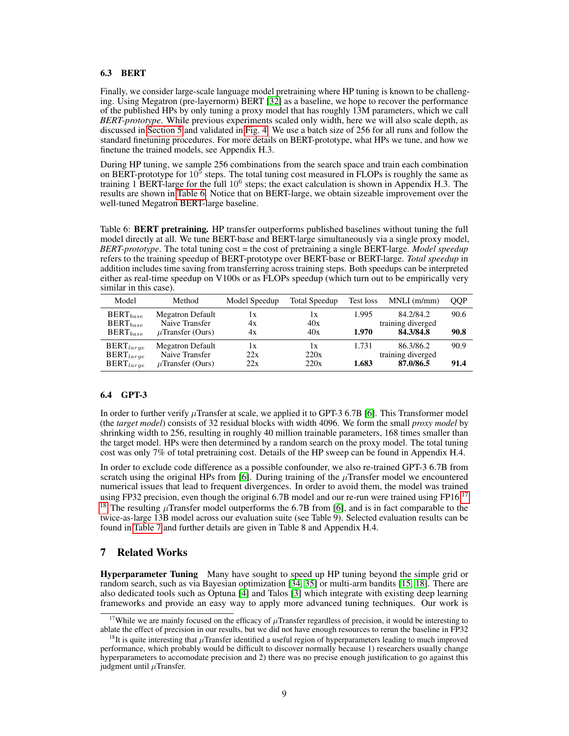#### <span id="page-8-0"></span>6.3 BERT

Finally, we consider large-scale language model pretraining where HP tuning is known to be challenging. Using Megatron (pre-layernorm) BERT [\[32\]](#page-12-4) as a baseline, we hope to recover the performance of the published HPs by only tuning a proxy model that has roughly 13M parameters, which we call *BERT-prototype*. While previous experiments scaled only width, here we will also scale depth, as discussed in [Section 5](#page-5-3) and validated in [Fig. 4.](#page-5-2) We use a batch size of 256 for all runs and follow the standard finetuning procedures. For more details on BERT-prototype, what HPs we tune, and how we finetune the trained models, see Appendix H.3.

During HP tuning, we sample 256 combinations from the search space and train each combination on BERT-prototype for  $10^5$  steps. The total tuning cost measured in FLOPs is roughly the same as training 1 BERT-large for the full 10<sup>6</sup> steps; the exact calculation is shown in Appendix H.3. The results are shown in [Table 6.](#page-8-1) Notice that on BERT-large, we obtain sizeable improvement over the well-tuned Megatron BERT-large baseline.

<span id="page-8-1"></span>Table 6: BERT pretraining. HP transfer outperforms published baselines without tuning the full model directly at all. We tune BERT-base and BERT-large simultaneously via a single proxy model, *BERT-prototype*. The total tuning cost = the cost of pretraining a single BERT-large. *Model speedup* refers to the training speedup of BERT-prototype over BERT-base or BERT-large. *Total speedup* in addition includes time saving from transferring across training steps. Both speedups can be interpreted either as real-time speedup on V100s or as FLOPs speedup (which turn out to be empirically very similar in this case).

| Model                            | Method                                    | Model Speedup                 | <b>Total Speedup</b> | Test loss | $MNLI$ (m/mm)                  | <b>OOP</b> |
|----------------------------------|-------------------------------------------|-------------------------------|----------------------|-----------|--------------------------------|------------|
| $BERT_{base}$<br>$BERT_{base}$   | <b>Megatron Default</b><br>Naive Transfer | $\mathbf{I} \mathbf{X}$<br>4x | 1x<br>40x            | 1.995     | 84.2/84.2<br>training diverged | 90.6       |
| $BERT_{base}$                    | $\mu$ Transfer (Ours)                     | 4x                            | 40x                  | 1.970     | 84.3/84.8                      | 90.8       |
| $BERT_{large}$<br>$BERT_{large}$ | <b>Megatron Default</b><br>Naive Transfer | lх<br>22x                     | 1x<br>220x           | 1.731     | 86.3/86.2<br>training diverged | 90.9       |
| $BERT_{large}$                   | $\mu$ Transfer (Ours)                     | 22x                           | 220x                 | 1.683     | 87.0/86.5                      | 91.4       |

#### 6.4 GPT-3

In order to further verify  $\mu$ Transfer at scale, we applied it to GPT-3 6.7B [\[6\]](#page-10-1). This Transformer model (the *target model*) consists of 32 residual blocks with width 4096. We form the small *proxy model* by shrinking width to 256, resulting in roughly 40 million trainable parameters, 168 times smaller than the target model. HPs were then determined by a random search on the proxy model. The total tuning cost was only 7% of total pretraining cost. Details of the HP sweep can be found in Appendix H.4.

In order to exclude code difference as a possible confounder, we also re-trained GPT-3 6.7B from scratch using the original HPs from [\[6\]](#page-10-1). During training of the  $\mu$ Transfer model we encountered numerical issues that lead to frequent divergences. In order to avoid them, the model was trained using FP32 precision, even though the original 6.7B model and our re-run were trained using FP16. $^{17}$  $^{17}$  $^{17}$ <sup>[18](#page-8-3)</sup> The resulting  $\mu$ Transfer model outperforms the 6.7B from [\[6\]](#page-10-1), and is in fact comparable to the twice-as-large 13B model across our evaluation suite (see Table 9). Selected evaluation results can be found in [Table 7](#page-9-0) and further details are given in Table 8 and Appendix H.4.

# 7 Related Works

Hyperparameter Tuning Many have sought to speed up HP tuning beyond the simple grid or random search, such as via Bayesian optimization [\[34,](#page-12-5) [35\]](#page-12-6) or multi-arm bandits [\[15,](#page-10-2) [18\]](#page-11-2). There are also dedicated tools such as Optuna [\[4\]](#page-10-3) and Talos [\[3\]](#page-10-4) which integrate with existing deep learning frameworks and provide an easy way to apply more advanced tuning techniques. Our work is

<span id="page-8-2"></span><sup>&</sup>lt;sup>17</sup>While we are mainly focused on the efficacy of  $\mu$ Transfer regardless of precision, it would be interesting to ablate the effect of precision in our results, but we did not have enough resources to rerun the baseline in FP32

<span id="page-8-3"></span><sup>&</sup>lt;sup>18</sup>It is quite interesting that  $\mu$ Transfer identified a useful region of hyperparameters leading to much improved performance, which probably would be difficult to discover normally because 1) researchers usually change hyperparameters to accomodate precision and 2) there was no precise enough justification to go against this judgment until  $\mu$ Transfer.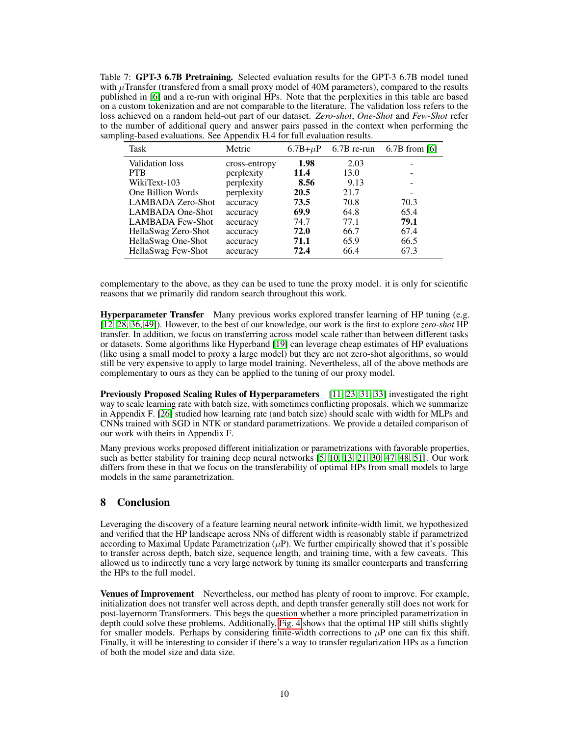<span id="page-9-0"></span>Table 7: GPT-3 6.7B Pretraining. Selected evaluation results for the GPT-3 6.7B model tuned with  $\mu$ Transfer (transfered from a small proxy model of 40M parameters), compared to the results published in [\[6\]](#page-10-1) and a re-run with original HPs. Note that the perplexities in this table are based on a custom tokenization and are not comparable to the literature. The validation loss refers to the loss achieved on a random held-out part of our dataset. *Zero-shot*, *One-Shot* and *Few-Shot* refer to the number of additional query and answer pairs passed in the context when performing the sampling-based evaluations. See Appendix H.4 for full evaluation results.

| Task                    | Metric        | $6.7B + \mu P$ | $6.7B$ re-run | $6.7B$ from [6] |
|-------------------------|---------------|----------------|---------------|-----------------|
| Validation loss         | cross-entropy | 1.98           | 2.03          |                 |
| <b>PTB</b>              | perplexity    | 11.4           | 13.0          | ۰               |
| WikiText-103            | perplexity    | 8.56           | 9.13          | ۰               |
| One Billion Words       | perplexity    | <b>20.5</b>    | 21.7          | ۰               |
| LAMBADA Zero-Shot       | accuracy      | 73.5           | 70.8          | 70.3            |
| <b>LAMBADA</b> One-Shot | accuracy      | 69.9           | 64.8          | 65.4            |
| <b>LAMBADA Few-Shot</b> | accuracy      | 74.7           | 77.1          | 79.1            |
| HellaSwag Zero-Shot     | accuracy      | 72.0           | 66.7          | 67.4            |
| HellaSwag One-Shot      | accuracy      | 71.1           | 65.9          | 66.5            |
| HellaSwag Few-Shot      | accuracy      | 72.4           | 66.4          | 67.3            |

complementary to the above, as they can be used to tune the proxy model. it is only for scientific reasons that we primarily did random search throughout this work.

Hyperparameter Transfer Many previous works explored transfer learning of HP tuning (e.g. [\[12,](#page-10-5) [28,](#page-11-3) [36,](#page-12-7) [49\]](#page-13-0)). However, to the best of our knowledge, our work is the first to explore *zero-shot* HP transfer. In addition, we focus on transferring across model scale rather than between different tasks or datasets. Some algorithms like Hyperband [\[19\]](#page-11-4) can leverage cheap estimates of HP evaluations (like using a small model to proxy a large model) but they are not zero-shot algorithms, so would still be very expensive to apply to large model training. Nevertheless, all of the above methods are complementary to ours as they can be applied to the tuning of our proxy model.

Previously Proposed Scaling Rules of Hyperparameters [\[11,](#page-10-6) [23,](#page-11-5) [31,](#page-12-8) [33\]](#page-12-9) investigated the right way to scale learning rate with batch size, with sometimes conflicting proposals. which we summarize in Appendix F. [\[26\]](#page-11-6) studied how learning rate (and batch size) should scale with width for MLPs and CNNs trained with SGD in NTK or standard parametrizations. We provide a detailed comparison of our work with theirs in Appendix F.

Many previous works proposed different initialization or parametrizations with favorable properties, such as better stability for training deep neural networks [\[5,](#page-10-7) [10,](#page-10-8) [13,](#page-10-9) [21,](#page-11-7) [30,](#page-12-10) [47,](#page-13-1) [48,](#page-13-2) [51\]](#page-13-3). Our work differs from these in that we focus on the transferability of optimal HPs from small models to large models in the same parametrization.

# 8 Conclusion

Leveraging the discovery of a feature learning neural network infinite-width limit, we hypothesized and verified that the HP landscape across NNs of different width is reasonably stable if parametrized according to Maximal Update Parametrization  $(\mu P)$ . We further empirically showed that it's possible to transfer across depth, batch size, sequence length, and training time, with a few caveats. This allowed us to indirectly tune a very large network by tuning its smaller counterparts and transferring the HPs to the full model.

Venues of Improvement Nevertheless, our method has plenty of room to improve. For example, initialization does not transfer well across depth, and depth transfer generally still does not work for post-layernorm Transformers. This begs the question whether a more principled parametrization in depth could solve these problems. Additionally, [Fig. 4](#page-5-2) shows that the optimal HP still shifts slightly for smaller models. Perhaps by considering finite-width corrections to  $\mu$ P one can fix this shift. Finally, it will be interesting to consider if there's a way to transfer regularization HPs as a function of both the model size and data size.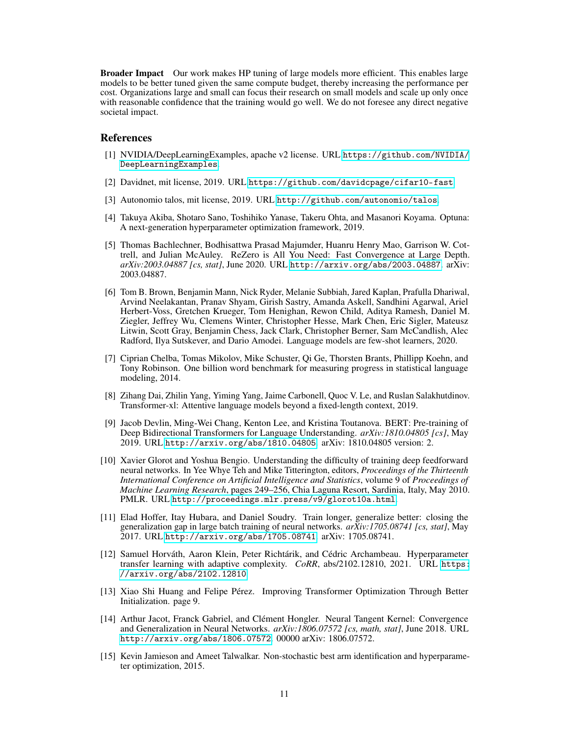Broader Impact Our work makes HP tuning of large models more efficient. This enables large models to be better tuned given the same compute budget, thereby increasing the performance per cost. Organizations large and small can focus their research on small models and scale up only once with reasonable confidence that the training would go well. We do not foresee any direct negative societal impact.

## References

- [1] NVIDIA/DeepLearningExamples, apache v2 license. URL [https://github.com/NVIDIA/](https://github.com/NVIDIA/DeepLearningExamples) [DeepLearningExamples](https://github.com/NVIDIA/DeepLearningExamples).
- [2] Davidnet, mit license, 2019. URL <https://github.com/davidcpage/cifar10-fast>.
- <span id="page-10-4"></span>[3] Autonomio talos, mit license, 2019. URL <http://github.com/autonomio/talos>.
- <span id="page-10-3"></span>[4] Takuya Akiba, Shotaro Sano, Toshihiko Yanase, Takeru Ohta, and Masanori Koyama. Optuna: A next-generation hyperparameter optimization framework, 2019.
- <span id="page-10-7"></span>[5] Thomas Bachlechner, Bodhisattwa Prasad Majumder, Huanru Henry Mao, Garrison W. Cottrell, and Julian McAuley. ReZero is All You Need: Fast Convergence at Large Depth. *arXiv:2003.04887 [cs, stat]*, June 2020. URL <http://arxiv.org/abs/2003.04887>. arXiv: 2003.04887.
- <span id="page-10-1"></span>[6] Tom B. Brown, Benjamin Mann, Nick Ryder, Melanie Subbiah, Jared Kaplan, Prafulla Dhariwal, Arvind Neelakantan, Pranav Shyam, Girish Sastry, Amanda Askell, Sandhini Agarwal, Ariel Herbert-Voss, Gretchen Krueger, Tom Henighan, Rewon Child, Aditya Ramesh, Daniel M. Ziegler, Jeffrey Wu, Clemens Winter, Christopher Hesse, Mark Chen, Eric Sigler, Mateusz Litwin, Scott Gray, Benjamin Chess, Jack Clark, Christopher Berner, Sam McCandlish, Alec Radford, Ilya Sutskever, and Dario Amodei. Language models are few-shot learners, 2020.
- [7] Ciprian Chelba, Tomas Mikolov, Mike Schuster, Qi Ge, Thorsten Brants, Phillipp Koehn, and Tony Robinson. One billion word benchmark for measuring progress in statistical language modeling, 2014.
- [8] Zihang Dai, Zhilin Yang, Yiming Yang, Jaime Carbonell, Quoc V. Le, and Ruslan Salakhutdinov. Transformer-xl: Attentive language models beyond a fixed-length context, 2019.
- <span id="page-10-0"></span>[9] Jacob Devlin, Ming-Wei Chang, Kenton Lee, and Kristina Toutanova. BERT: Pre-training of Deep Bidirectional Transformers for Language Understanding. *arXiv:1810.04805 [cs]*, May 2019. URL <http://arxiv.org/abs/1810.04805>. arXiv: 1810.04805 version: 2.
- <span id="page-10-8"></span>[10] Xavier Glorot and Yoshua Bengio. Understanding the difficulty of training deep feedforward neural networks. In Yee Whye Teh and Mike Titterington, editors, *Proceedings of the Thirteenth International Conference on Artificial Intelligence and Statistics*, volume 9 of *Proceedings of Machine Learning Research*, pages 249–256, Chia Laguna Resort, Sardinia, Italy, May 2010. PMLR. URL <http://proceedings.mlr.press/v9/glorot10a.html>.
- <span id="page-10-6"></span>[11] Elad Hoffer, Itay Hubara, and Daniel Soudry. Train longer, generalize better: closing the generalization gap in large batch training of neural networks. *arXiv:1705.08741 [cs, stat]*, May 2017. URL <http://arxiv.org/abs/1705.08741>. arXiv: 1705.08741.
- <span id="page-10-5"></span>[12] Samuel Horváth, Aaron Klein, Peter Richtárik, and Cédric Archambeau. Hyperparameter transfer learning with adaptive complexity. *CoRR*, abs/2102.12810, 2021. URL [https:](https://arxiv.org/abs/2102.12810) [//arxiv.org/abs/2102.12810](https://arxiv.org/abs/2102.12810).
- <span id="page-10-9"></span>[13] Xiao Shi Huang and Felipe Pérez. Improving Transformer Optimization Through Better Initialization. page 9.
- [14] Arthur Jacot, Franck Gabriel, and Clément Hongler. Neural Tangent Kernel: Convergence and Generalization in Neural Networks. *arXiv:1806.07572 [cs, math, stat]*, June 2018. URL <http://arxiv.org/abs/1806.07572>. 00000 arXiv: 1806.07572.
- <span id="page-10-2"></span>[15] Kevin Jamieson and Ameet Talwalkar. Non-stochastic best arm identification and hyperparameter optimization, 2015.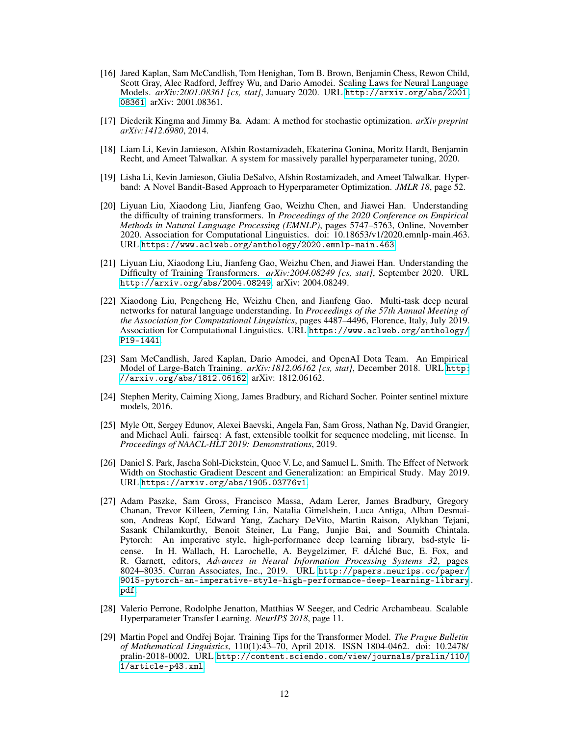- [16] Jared Kaplan, Sam McCandlish, Tom Henighan, Tom B. Brown, Benjamin Chess, Rewon Child, Scott Gray, Alec Radford, Jeffrey Wu, and Dario Amodei. Scaling Laws for Neural Language Models. *arXiv:2001.08361 [cs, stat]*, January 2020. URL [http://arxiv.org/abs/2001.](http://arxiv.org/abs/2001.08361) [08361](http://arxiv.org/abs/2001.08361). arXiv: 2001.08361.
- [17] Diederik Kingma and Jimmy Ba. Adam: A method for stochastic optimization. *arXiv preprint arXiv:1412.6980*, 2014.
- <span id="page-11-2"></span>[18] Liam Li, Kevin Jamieson, Afshin Rostamizadeh, Ekaterina Gonina, Moritz Hardt, Benjamin Recht, and Ameet Talwalkar. A system for massively parallel hyperparameter tuning, 2020.
- <span id="page-11-4"></span>[19] Lisha Li, Kevin Jamieson, Giulia DeSalvo, Afshin Rostamizadeh, and Ameet Talwalkar. Hyperband: A Novel Bandit-Based Approach to Hyperparameter Optimization. *JMLR 18*, page 52.
- [20] Liyuan Liu, Xiaodong Liu, Jianfeng Gao, Weizhu Chen, and Jiawei Han. Understanding the difficulty of training transformers. In *Proceedings of the 2020 Conference on Empirical Methods in Natural Language Processing (EMNLP)*, pages 5747–5763, Online, November 2020. Association for Computational Linguistics. doi: 10.18653/v1/2020.emnlp-main.463. URL <https://www.aclweb.org/anthology/2020.emnlp-main.463>.
- <span id="page-11-7"></span>[21] Liyuan Liu, Xiaodong Liu, Jianfeng Gao, Weizhu Chen, and Jiawei Han. Understanding the Difficulty of Training Transformers. *arXiv:2004.08249 [cs, stat]*, September 2020. URL <http://arxiv.org/abs/2004.08249>. arXiv: 2004.08249.
- [22] Xiaodong Liu, Pengcheng He, Weizhu Chen, and Jianfeng Gao. Multi-task deep neural networks for natural language understanding. In *Proceedings of the 57th Annual Meeting of the Association for Computational Linguistics*, pages 4487–4496, Florence, Italy, July 2019. Association for Computational Linguistics. URL [https://www.aclweb.org/anthology/](https://www.aclweb.org/anthology/P19-1441) [P19-1441](https://www.aclweb.org/anthology/P19-1441).
- <span id="page-11-5"></span>[23] Sam McCandlish, Jared Kaplan, Dario Amodei, and OpenAI Dota Team. An Empirical Model of Large-Batch Training. *arXiv:1812.06162 [cs, stat]*, December 2018. URL [http:](http://arxiv.org/abs/1812.06162) [//arxiv.org/abs/1812.06162](http://arxiv.org/abs/1812.06162). arXiv: 1812.06162.
- [24] Stephen Merity, Caiming Xiong, James Bradbury, and Richard Socher. Pointer sentinel mixture models, 2016.
- <span id="page-11-1"></span>[25] Myle Ott, Sergey Edunov, Alexei Baevski, Angela Fan, Sam Gross, Nathan Ng, David Grangier, and Michael Auli. fairseq: A fast, extensible toolkit for sequence modeling, mit license. In *Proceedings of NAACL-HLT 2019: Demonstrations*, 2019.
- <span id="page-11-6"></span>[26] Daniel S. Park, Jascha Sohl-Dickstein, Quoc V. Le, and Samuel L. Smith. The Effect of Network Width on Stochastic Gradient Descent and Generalization: an Empirical Study. May 2019. URL <https://arxiv.org/abs/1905.03776v1>.
- <span id="page-11-0"></span>[27] Adam Paszke, Sam Gross, Francisco Massa, Adam Lerer, James Bradbury, Gregory Chanan, Trevor Killeen, Zeming Lin, Natalia Gimelshein, Luca Antiga, Alban Desmaison, Andreas Kopf, Edward Yang, Zachary DeVito, Martin Raison, Alykhan Tejani, Sasank Chilamkurthy, Benoit Steiner, Lu Fang, Junjie Bai, and Soumith Chintala. Pytorch: An imperative style, high-performance deep learning library, bsd-style license. In H. Wallach, H. Larochelle, A. Beygelzimer, F. dÁlché Buc, E. Fox, and R. Garnett, editors, *Advances in Neural Information Processing Systems 32*, pages 8024–8035. Curran Associates, Inc., 2019. URL [http://papers.neurips.cc/paper/](http://papers.neurips.cc/paper/9015-pytorch-an-imperative-style-high-performance-deep-learning-library.pdf) [9015-pytorch-an-imperative-style-high-performance-deep-learning-library.](http://papers.neurips.cc/paper/9015-pytorch-an-imperative-style-high-performance-deep-learning-library.pdf) [pdf](http://papers.neurips.cc/paper/9015-pytorch-an-imperative-style-high-performance-deep-learning-library.pdf).
- <span id="page-11-3"></span>[28] Valerio Perrone, Rodolphe Jenatton, Matthias W Seeger, and Cedric Archambeau. Scalable Hyperparameter Transfer Learning. *NeurIPS 2018*, page 11.
- [29] Martin Popel and Ondˇrej Bojar. Training Tips for the Transformer Model. *The Prague Bulletin of Mathematical Linguistics*, 110(1):43–70, April 2018. ISSN 1804-0462. doi: 10.2478/ pralin-2018-0002. URL [http://content.sciendo.com/view/journals/pralin/110/](http://content.sciendo.com/view/journals/pralin/110/1/article-p43.xml) [1/article-p43.xml](http://content.sciendo.com/view/journals/pralin/110/1/article-p43.xml).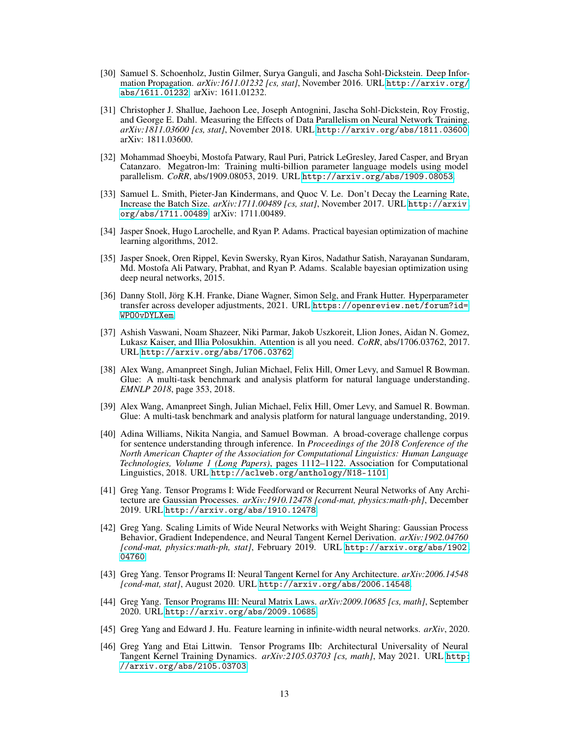- <span id="page-12-10"></span>[30] Samuel S. Schoenholz, Justin Gilmer, Surya Ganguli, and Jascha Sohl-Dickstein. Deep Information Propagation. *arXiv:1611.01232 [cs, stat]*, November 2016. URL [http://arxiv.org/](http://arxiv.org/abs/1611.01232) [abs/1611.01232](http://arxiv.org/abs/1611.01232). arXiv: 1611.01232.
- <span id="page-12-8"></span>[31] Christopher J. Shallue, Jaehoon Lee, Joseph Antognini, Jascha Sohl-Dickstein, Roy Frostig, and George E. Dahl. Measuring the Effects of Data Parallelism on Neural Network Training. *arXiv:1811.03600 [cs, stat]*, November 2018. URL <http://arxiv.org/abs/1811.03600>. arXiv: 1811.03600.
- <span id="page-12-4"></span>[32] Mohammad Shoeybi, Mostofa Patwary, Raul Puri, Patrick LeGresley, Jared Casper, and Bryan Catanzaro. Megatron-lm: Training multi-billion parameter language models using model parallelism. *CoRR*, abs/1909.08053, 2019. URL <http://arxiv.org/abs/1909.08053>.
- <span id="page-12-9"></span>[33] Samuel L. Smith, Pieter-Jan Kindermans, and Quoc V. Le. Don't Decay the Learning Rate, Increase the Batch Size. *arXiv:1711.00489 [cs, stat]*, November 2017. URL [http://arxiv.](http://arxiv.org/abs/1711.00489) [org/abs/1711.00489](http://arxiv.org/abs/1711.00489). arXiv: 1711.00489.
- <span id="page-12-5"></span>[34] Jasper Snoek, Hugo Larochelle, and Ryan P. Adams. Practical bayesian optimization of machine learning algorithms, 2012.
- <span id="page-12-6"></span>[35] Jasper Snoek, Oren Rippel, Kevin Swersky, Ryan Kiros, Nadathur Satish, Narayanan Sundaram, Md. Mostofa Ali Patwary, Prabhat, and Ryan P. Adams. Scalable bayesian optimization using deep neural networks, 2015.
- <span id="page-12-7"></span>[36] Danny Stoll, Jörg K.H. Franke, Diane Wagner, Simon Selg, and Frank Hutter. Hyperparameter transfer across developer adjustments, 2021. URL [https://openreview.net/forum?id=](https://openreview.net/forum?id=WPO0vDYLXem) [WPO0vDYLXem](https://openreview.net/forum?id=WPO0vDYLXem).
- <span id="page-12-3"></span>[37] Ashish Vaswani, Noam Shazeer, Niki Parmar, Jakob Uszkoreit, Llion Jones, Aidan N. Gomez, Lukasz Kaiser, and Illia Polosukhin. Attention is all you need. *CoRR*, abs/1706.03762, 2017. URL <http://arxiv.org/abs/1706.03762>.
- [38] Alex Wang, Amanpreet Singh, Julian Michael, Felix Hill, Omer Levy, and Samuel R Bowman. Glue: A multi-task benchmark and analysis platform for natural language understanding. *EMNLP 2018*, page 353, 2018.
- [39] Alex Wang, Amanpreet Singh, Julian Michael, Felix Hill, Omer Levy, and Samuel R. Bowman. Glue: A multi-task benchmark and analysis platform for natural language understanding, 2019.
- [40] Adina Williams, Nikita Nangia, and Samuel Bowman. A broad-coverage challenge corpus for sentence understanding through inference. In *Proceedings of the 2018 Conference of the North American Chapter of the Association for Computational Linguistics: Human Language Technologies, Volume 1 (Long Papers)*, pages 1112–1122. Association for Computational Linguistics, 2018. URL <http://aclweb.org/anthology/N18-1101>.
- <span id="page-12-1"></span>[41] Greg Yang. Tensor Programs I: Wide Feedforward or Recurrent Neural Networks of Any Architecture are Gaussian Processes. *arXiv:1910.12478 [cond-mat, physics:math-ph]*, December 2019. URL <http://arxiv.org/abs/1910.12478>.
- [42] Greg Yang. Scaling Limits of Wide Neural Networks with Weight Sharing: Gaussian Process Behavior, Gradient Independence, and Neural Tangent Kernel Derivation. *arXiv:1902.04760 [cond-mat, physics:math-ph, stat]*, February 2019. URL [http://arxiv.org/abs/1902.](http://arxiv.org/abs/1902.04760) [04760](http://arxiv.org/abs/1902.04760).
- [43] Greg Yang. Tensor Programs II: Neural Tangent Kernel for Any Architecture. *arXiv:2006.14548 [cond-mat, stat]*, August 2020. URL <http://arxiv.org/abs/2006.14548>.
- [44] Greg Yang. Tensor Programs III: Neural Matrix Laws. *arXiv:2009.10685 [cs, math]*, September 2020. URL <http://arxiv.org/abs/2009.10685>.
- <span id="page-12-0"></span>[45] Greg Yang and Edward J. Hu. Feature learning in infinite-width neural networks. *arXiv*, 2020.
- <span id="page-12-2"></span>[46] Greg Yang and Etai Littwin. Tensor Programs IIb: Architectural Universality of Neural Tangent Kernel Training Dynamics. *arXiv:2105.03703 [cs, math]*, May 2021. URL [http:](http://arxiv.org/abs/2105.03703) [//arxiv.org/abs/2105.03703](http://arxiv.org/abs/2105.03703).